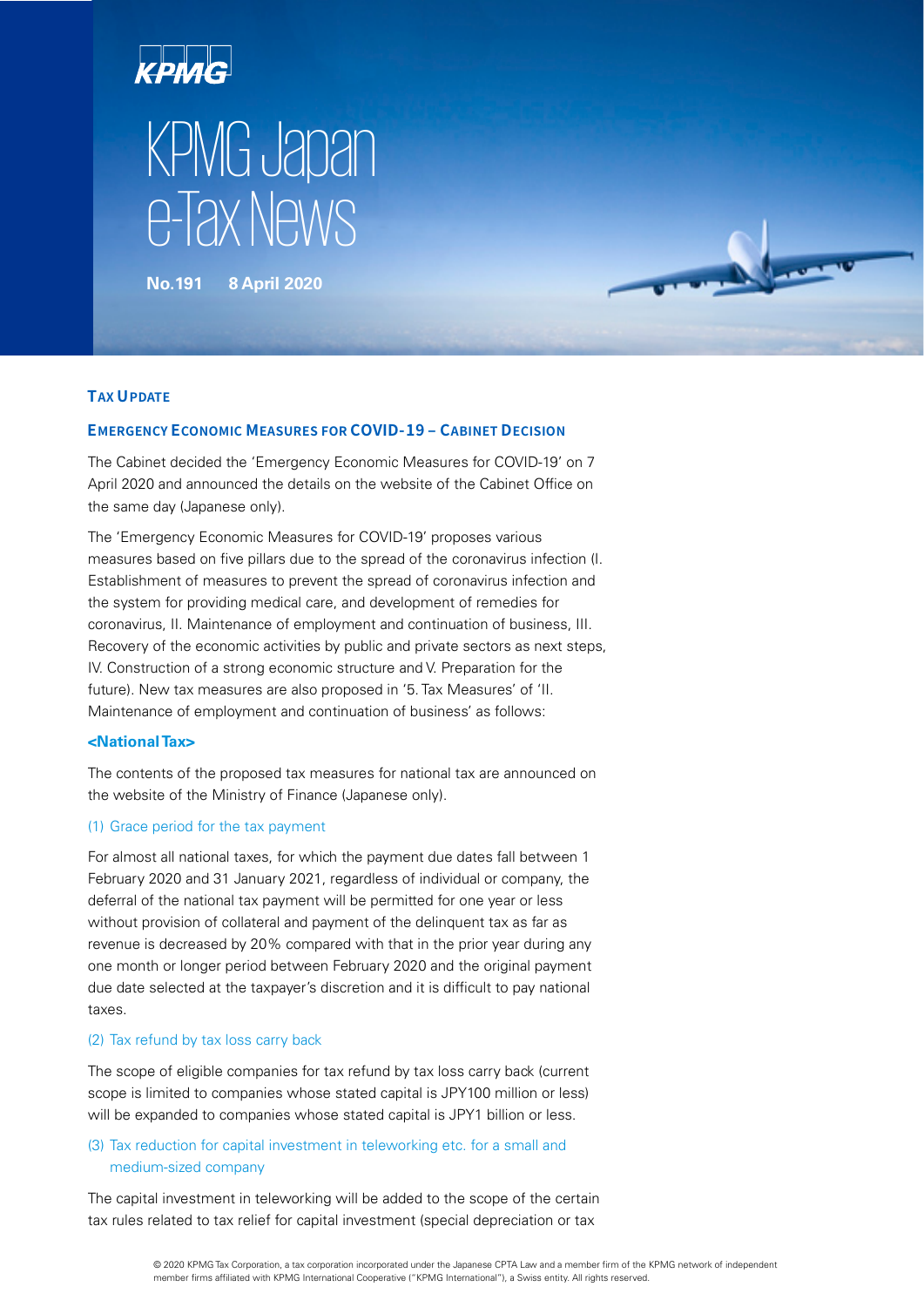

**No.191 8 April 2020**

# **TAX UPDATE**

# **EMERGENCY ECONOMIC MEASURES FOR COVID-19 ‒ CABINET DECISION**

The Cabinet decided the 'Emergency Economic Measures for COVID-19' on 7 April 2020 and announced the details on the website of the Cabinet Office on the same day (Japanese only).

The 'Emergency Economic Measures for COVID-19' proposes various measures based on five pillars due to the spread of the coronavirus infection (I. Establishment of measures to prevent the spread of coronavirus infection and the system for providing medical care, and development of remedies for coronavirus, II. Maintenance of employment and continuation of business, III. Recovery of the economic activities by public and private sectors as next steps, IV. Construction of a strong economic structure and V. Preparation for the future). New tax measures are also proposed in '5. Tax Measures' of 'II. Maintenance of employment and continuation of business' as follows:

# **<National Tax>**

The contents of the proposed tax measures for national tax are announced on the website of the Ministry of Finance (Japanese only).

## (1) Grace period for the tax payment

For almost all national taxes, for which the payment due dates fall between 1 February 2020 and 31 January 2021, regardless of individual or company, the deferral of the national tax payment will be permitted for one year or less without provision of collateral and payment of the delinquent tax as far as revenue is decreased by 20% compared with that in the prior year during any one month or longer period between February 2020 and the original payment due date selected at the taxpayer's discretion and it is difficult to pay national taxes.

#### (2) Tax refund by tax loss carry back

The scope of eligible companies for tax refund by tax loss carry back (current scope is limited to companies whose stated capital is JPY100 million or less) will be expanded to companies whose stated capital is JPY1 billion or less.

# (3) Tax reduction for capital investment in teleworking etc. for a small and medium-sized company

The capital investment in teleworking will be added to the scope of the certain tax rules related to tax relief for capital investment (special depreciation or tax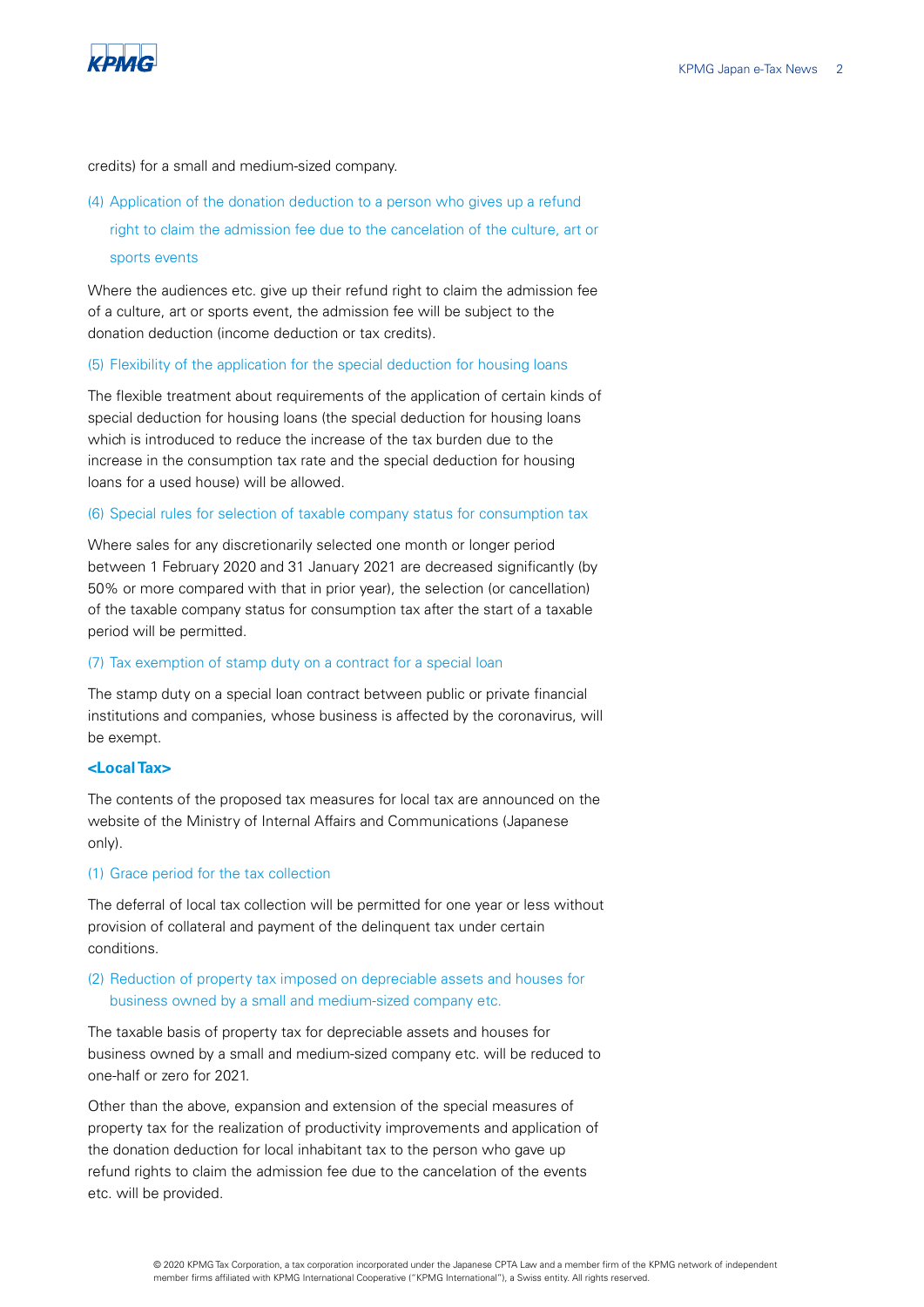

credits) for a small and medium-sized company.

(4) Application of the donation deduction to a person who gives up a refund right to claim the admission fee due to the cancelation of the culture, art or sports events

Where the audiences etc. give up their refund right to claim the admission fee of a culture, art or sports event, the admission fee will be subject to the donation deduction (income deduction or tax credits).

## (5) Flexibility of the application for the special deduction for housing loans

The flexible treatment about requirements of the application of certain kinds of special deduction for housing loans (the special deduction for housing loans which is introduced to reduce the increase of the tax burden due to the increase in the consumption tax rate and the special deduction for housing loans for a used house) will be allowed.

#### (6) Special rules for selection of taxable company status for consumption tax

Where sales for any discretionarily selected one month or longer period between 1 February 2020 and 31 January 2021 are decreased significantly (by 50% or more compared with that in prior year), the selection (or cancellation) of the taxable company status for consumption tax after the start of a taxable period will be permitted.

## (7) Tax exemption of stamp duty on a contract for a special loan

The stamp duty on a special loan contract between public or private financial institutions and companies, whose business is affected by the coronavirus, will be exempt.

## **<Local Tax>**

The contents of the proposed tax measures for local tax are announced on the website of the Ministry of Internal Affairs and Communications (Japanese only).

## (1) Grace period for the tax collection

The deferral of local tax collection will be permitted for one year or less without provision of collateral and payment of the delinquent tax under certain conditions.

# (2) Reduction of property tax imposed on depreciable assets and houses for business owned by a small and medium-sized company etc.

The taxable basis of property tax for depreciable assets and houses for business owned by a small and medium-sized company etc. will be reduced to one-half or zero for 2021.

Other than the above, expansion and extension of the special measures of property tax for the realization of productivity improvements and application of the donation deduction for local inhabitant tax to the person who gave up refund rights to claim the admission fee due to the cancelation of the events etc. will be provided.